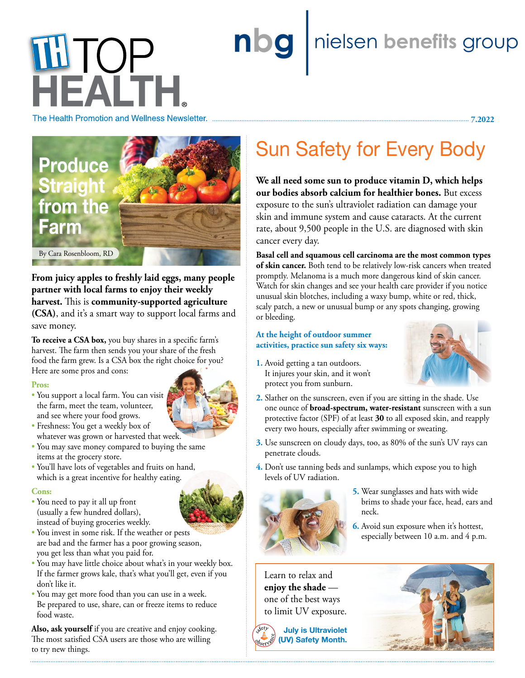# nbg | nielsen benefits group **LLIOP** HEALTH

The Health Promotion and Wellness Newsletter.



**From juicy apples to freshly laid eggs, many people partner with local farms to enjoy their weekly harvest.** This is **community-supported agriculture (CSA)**, and it's a smart way to support local farms and save money.

**To receive a CSA box,** you buy shares in a specific farm's harvest. The farm then sends you your share of the fresh food the farm grew. Is a CSA box the right choice for you? Here are some pros and cons:

#### **Pros:**

• You support a local farm. You can visit the farm, meet the team, volunteer, and see where your food grows.



- Freshness: You get a weekly box of whatever was grown or harvested that week.
- You may save money compared to buying the same items at the grocery store.
- You'll have lots of vegetables and fruits on hand, which is a great incentive for healthy eating.

#### **Cons:**

- You need to pay it all up front (usually a few hundred dollars), instead of buying groceries weekly.
- You invest in some risk. If the weather or pests are bad and the farmer has a poor growing season, you get less than what you paid for.
- You may have little choice about what's in your weekly box. If the farmer grows kale, that's what you'll get, even if you don't like it.
- You may get more food than you can use in a week. Be prepared to use, share, can or freeze items to reduce food waste.

**Also, ask yourself** if you are creative and enjoy cooking. The most satisfied CSA users are those who are willing to try new things.

## Sun Safety for Every Body

**We all need some sun to produce vitamin D, which helps our bodies absorb calcium for healthier bones.** But excess exposure to the sun's ultraviolet radiation can damage your skin and immune system and cause cataracts. At the current rate, about 9,500 people in the U.S. are diagnosed with skin cancer every day.

**Basal cell and squamous cell carcinoma are the most common types of skin cancer.** Both tend to be relatively low-risk cancers when treated promptly. Melanoma is a much more dangerous kind of skin cancer. Watch for skin changes and see your health care provider if you notice unusual skin blotches, including a waxy bump, white or red, thick, scaly patch, a new or unusual bump or any spots changing, growing or bleeding.

### **At the height of outdoor summer activities, practice sun safety six ways:**

**1.** Avoid getting a tan outdoors. It injures your skin, and it won't protect you from sunburn.



 **7.2022**

- **2.** Slather on the sunscreen, even if you are sitting in the shade. Use one ounce of **broad-spectrum, water-resistant** sunscreen with a sun protective factor (SPF) of at least **30** to all exposed skin, and reapply every two hours, especially after swimming or sweating.
- **3.** Use sunscreen on cloudy days, too, as 80% of the sun's UV rays can penetrate clouds.
- **4.** Don't use tanning beds and sunlamps, which expose you to high levels of UV radiation.



- **5.** Wear sunglasses and hats with wide brims to shade your face, head, ears and neck.
- **6.** Avoid sun exposure when it's hottest, especially between 10 a.m. and 4 p.m.

Learn to relax and **enjoy the shade** one of the best ways to limit UV exposure.

**July is Ultraviolet (UV) Safety Month.**